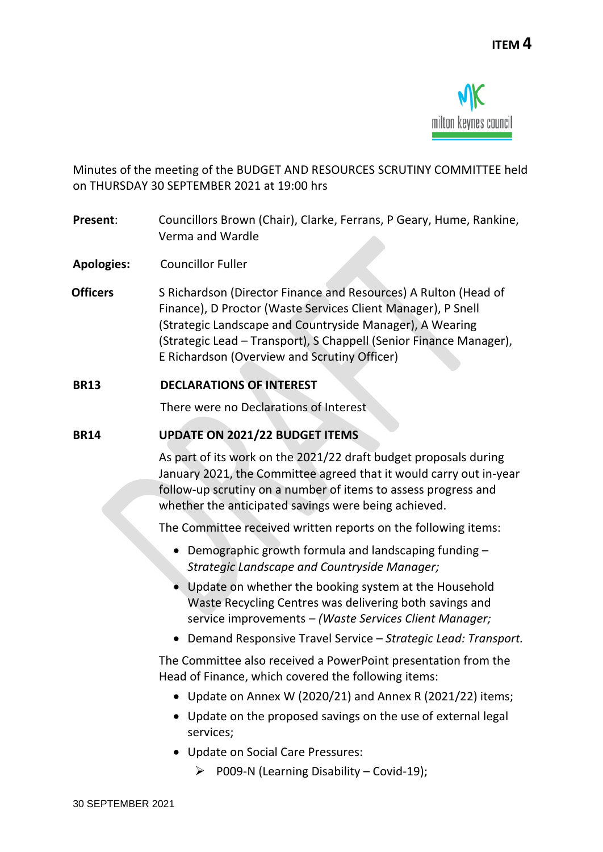

Minutes of the meeting of the BUDGET AND RESOURCES SCRUTINY COMMITTEE held on THURSDAY 30 SEPTEMBER 2021 at 19:00 hrs

- **Present**: Councillors Brown (Chair), Clarke, Ferrans, P Geary, Hume, Rankine, Verma and Wardle
- **Apologies:** Councillor Fuller
- **Officers** S Richardson (Director Finance and Resources) A Rulton (Head of Finance), D Proctor (Waste Services Client Manager), P Snell (Strategic Landscape and Countryside Manager), A Wearing (Strategic Lead – Transport), S Chappell (Senior Finance Manager), E Richardson (Overview and Scrutiny Officer)

## **BR13 DECLARATIONS OF INTEREST**

There were no Declarations of Interest

## **BR14 UPDATE ON 2021/22 BUDGET ITEMS**

As part of its work on the 2021/22 draft budget proposals during January 2021, the Committee agreed that it would carry out in-year follow-up scrutiny on a number of items to assess progress and whether the anticipated savings were being achieved.

The Committee received written reports on the following items:

- Demographic growth formula and landscaping funding *Strategic Landscape and Countryside Manager;*
- Update on whether the booking system at the Household Waste Recycling Centres was delivering both savings and service improvements – *(Waste Services Client Manager;*
- Demand Responsive Travel Service *Strategic Lead: Transport.*

The Committee also received a PowerPoint presentation from the Head of Finance, which covered the following items:

- Update on Annex W (2020/21) and Annex R (2021/22) items;
- Update on the proposed savings on the use of external legal services;
- Update on Social Care Pressures:
	- $\triangleright$  P009-N (Learning Disability Covid-19);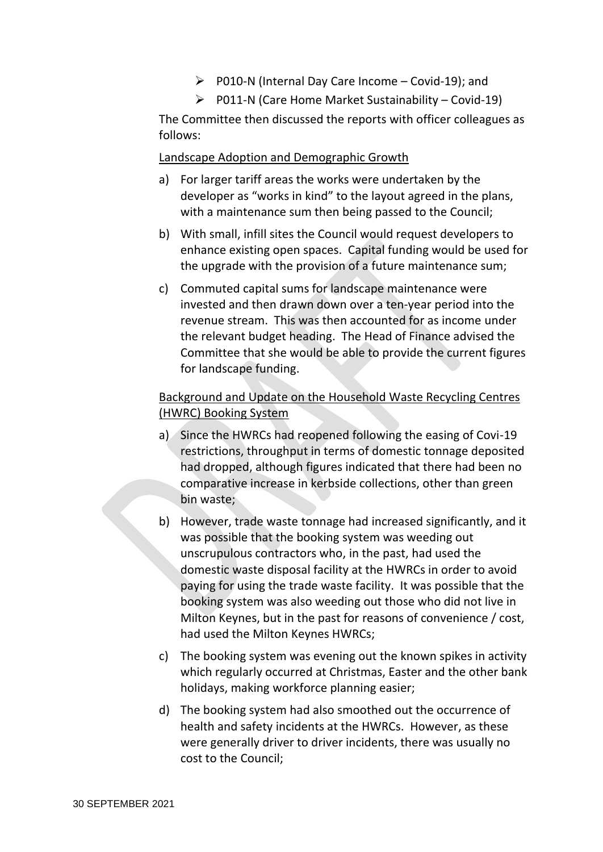- $\triangleright$  P010-N (Internal Day Care Income Covid-19); and
- $\triangleright$  P011-N (Care Home Market Sustainability Covid-19)

The Committee then discussed the reports with officer colleagues as follows:

Landscape Adoption and Demographic Growth

- a) For larger tariff areas the works were undertaken by the developer as "works in kind" to the layout agreed in the plans, with a maintenance sum then being passed to the Council;
- b) With small, infill sites the Council would request developers to enhance existing open spaces. Capital funding would be used for the upgrade with the provision of a future maintenance sum;
- c) Commuted capital sums for landscape maintenance were invested and then drawn down over a ten-year period into the revenue stream. This was then accounted for as income under the relevant budget heading. The Head of Finance advised the Committee that she would be able to provide the current figures for landscape funding.

# Background and Update on the Household Waste Recycling Centres (HWRC) Booking System

- a) Since the HWRCs had reopened following the easing of Covi-19 restrictions, throughput in terms of domestic tonnage deposited had dropped, although figures indicated that there had been no comparative increase in kerbside collections, other than green bin waste;
- b) However, trade waste tonnage had increased significantly, and it was possible that the booking system was weeding out unscrupulous contractors who, in the past, had used the domestic waste disposal facility at the HWRCs in order to avoid paying for using the trade waste facility. It was possible that the booking system was also weeding out those who did not live in Milton Keynes, but in the past for reasons of convenience / cost, had used the Milton Keynes HWRCs;
- c) The booking system was evening out the known spikes in activity which regularly occurred at Christmas, Easter and the other bank holidays, making workforce planning easier;
- d) The booking system had also smoothed out the occurrence of health and safety incidents at the HWRCs. However, as these were generally driver to driver incidents, there was usually no cost to the Council;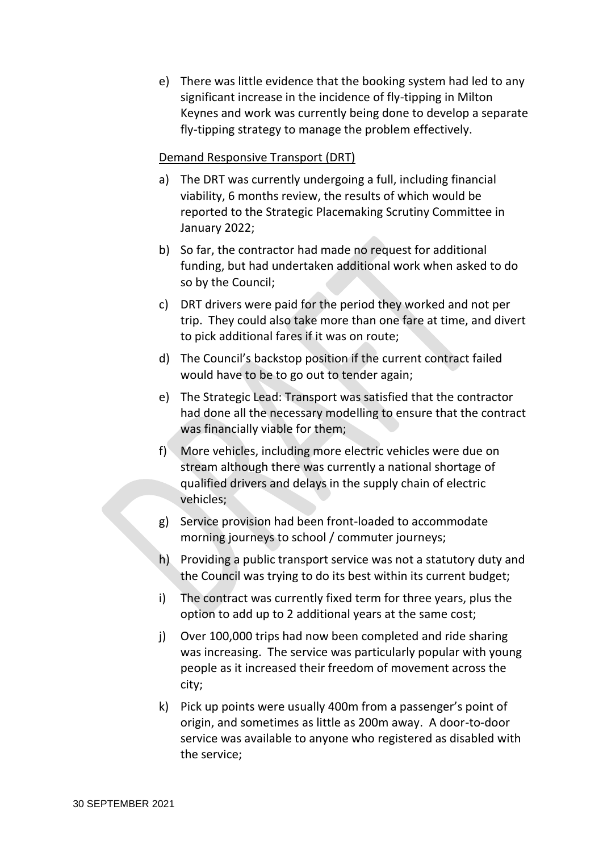e) There was little evidence that the booking system had led to any significant increase in the incidence of fly-tipping in Milton Keynes and work was currently being done to develop a separate fly-tipping strategy to manage the problem effectively.

#### Demand Responsive Transport (DRT)

- a) The DRT was currently undergoing a full, including financial viability, 6 months review, the results of which would be reported to the Strategic Placemaking Scrutiny Committee in January 2022;
- b) So far, the contractor had made no request for additional funding, but had undertaken additional work when asked to do so by the Council;
- c) DRT drivers were paid for the period they worked and not per trip. They could also take more than one fare at time, and divert to pick additional fares if it was on route;
- d) The Council's backstop position if the current contract failed would have to be to go out to tender again;
- e) The Strategic Lead: Transport was satisfied that the contractor had done all the necessary modelling to ensure that the contract was financially viable for them;
- f) More vehicles, including more electric vehicles were due on stream although there was currently a national shortage of qualified drivers and delays in the supply chain of electric vehicles;
- g) Service provision had been front-loaded to accommodate morning journeys to school / commuter journeys;
- h) Providing a public transport service was not a statutory duty and the Council was trying to do its best within its current budget;
- i) The contract was currently fixed term for three years, plus the option to add up to 2 additional years at the same cost;
- j) Over 100,000 trips had now been completed and ride sharing was increasing. The service was particularly popular with young people as it increased their freedom of movement across the city;
- k) Pick up points were usually 400m from a passenger's point of origin, and sometimes as little as 200m away. A door-to-door service was available to anyone who registered as disabled with the service;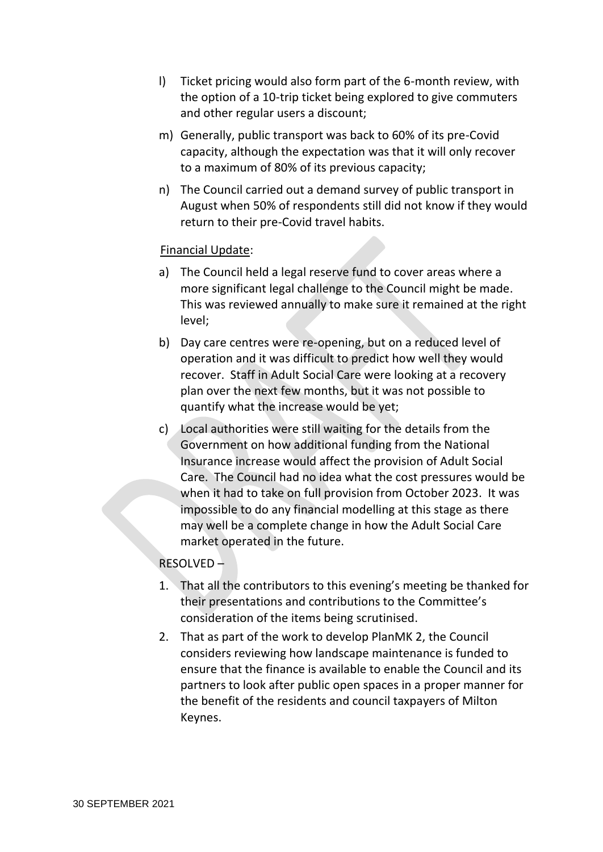- l) Ticket pricing would also form part of the 6-month review, with the option of a 10-trip ticket being explored to give commuters and other regular users a discount;
- m) Generally, public transport was back to 60% of its pre-Covid capacity, although the expectation was that it will only recover to a maximum of 80% of its previous capacity;
- n) The Council carried out a demand survey of public transport in August when 50% of respondents still did not know if they would return to their pre-Covid travel habits.

## Financial Update:

- a) The Council held a legal reserve fund to cover areas where a more significant legal challenge to the Council might be made. This was reviewed annually to make sure it remained at the right level;
- b) Day care centres were re-opening, but on a reduced level of operation and it was difficult to predict how well they would recover. Staff in Adult Social Care were looking at a recovery plan over the next few months, but it was not possible to quantify what the increase would be yet;
- c) Local authorities were still waiting for the details from the Government on how additional funding from the National Insurance increase would affect the provision of Adult Social Care. The Council had no idea what the cost pressures would be when it had to take on full provision from October 2023. It was impossible to do any financial modelling at this stage as there may well be a complete change in how the Adult Social Care market operated in the future.

## RESOLVED –

- 1. That all the contributors to this evening's meeting be thanked for their presentations and contributions to the Committee's consideration of the items being scrutinised.
- 2. That as part of the work to develop PlanMK 2, the Council considers reviewing how landscape maintenance is funded to ensure that the finance is available to enable the Council and its partners to look after public open spaces in a proper manner for the benefit of the residents and council taxpayers of Milton Keynes.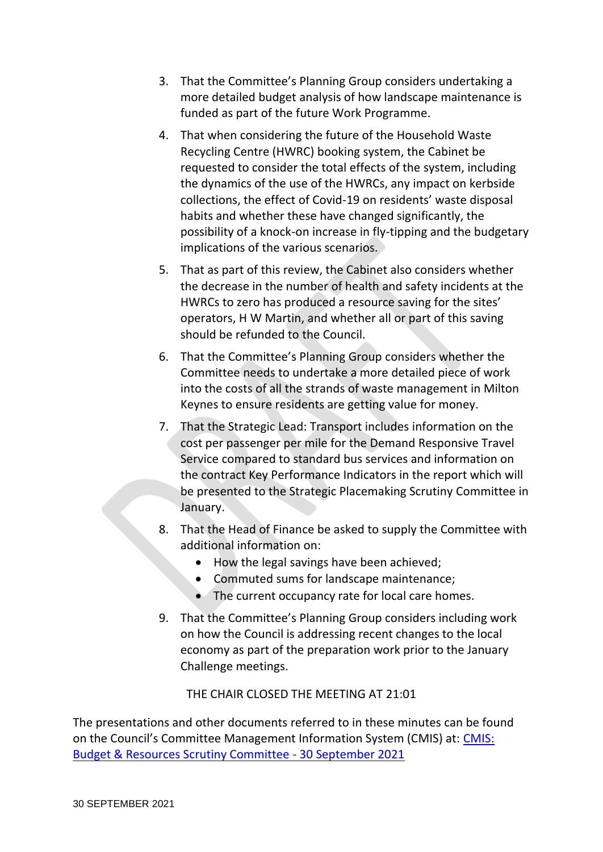- 3. That the Committee's Planning Group considers undertaking a more detailed budget analysis of how landscape maintenance is funded as part of the future Work Programme.
- 4. That when considering the future of the Household Waste Recycling Centre (HWRC) booking system, the Cabinet be requested to consider the total effects of the system, including the dynamics of the use of the HWRCs, any impact on kerbside collections, the effect of Covid-19 on residents' waste disposal habits and whether these have changed significantly, the possibility of a knock-on increase in fly-tipping and the budgetary implications of the various scenarios.
- 5. That as part of this review, the Cabinet also considers whether the decrease in the number of health and safety incidents at the HWRCs to zero has produced a resource saving for the sites' operators, H W Martin, and whether all or part of this saving should be refunded to the Council.
- 6. That the Committee's Planning Group considers whether the Committee needs to undertake a more detailed piece of work into the costs of all the strands of waste management in Milton Keynes to ensure residents are getting value for money.
- 7. That the Strategic Lead: Transport includes information on the cost per passenger per mile for the Demand Responsive Travel Service compared to standard bus services and information on the contract Key Performance Indicators in the report which will be presented to the Strategic Placemaking Scrutiny Committee in January.
- 8. That the Head of Finance be asked to supply the Committee with additional information on:
	- How the legal savings have been achieved;
	- Commuted sums for landscape maintenance;
	- The current occupancy rate for local care homes.
- 9. That the Committee's Planning Group considers including work on how the Council is addressing recent changes to the local economy as part of the preparation work prior to the January Challenge meetings.

## THE CHAIR CLOSED THE MEETING AT 21:01

The presentations and other documents referred to in these minutes can be found on the Council's Committee Management Information System (CMIS) at: [CMIS:](https://milton-keynes.cmis.uk.com/milton-keynes/Calendar/tabid/70/ctl/ViewMeetingPublic/mid/397/Meeting/6840/Committee/1397/Default.aspx)  [Budget & Resources Scrutiny Committee -](https://milton-keynes.cmis.uk.com/milton-keynes/Calendar/tabid/70/ctl/ViewMeetingPublic/mid/397/Meeting/6840/Committee/1397/Default.aspx) 30 September 2021